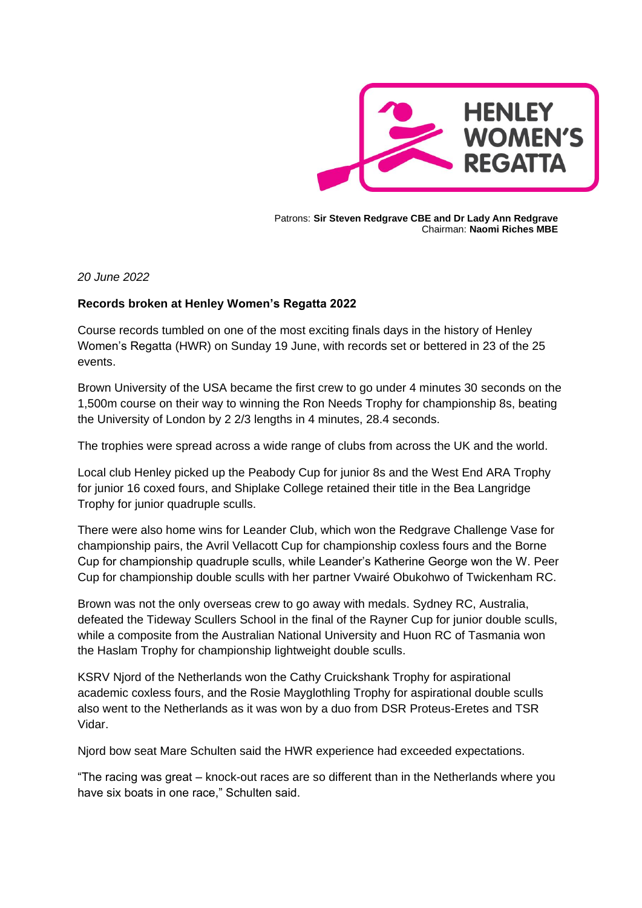

Patrons: **Sir Steven Redgrave CBE and Dr Lady Ann Redgrave** Chairman: **Naomi Riches MBE**

*20 June 2022*

## **Records broken at Henley Women's Regatta 2022**

Course records tumbled on one of the most exciting finals days in the history of Henley Women's Regatta (HWR) on Sunday 19 June, with records set or bettered in 23 of the 25 events.

Brown University of the USA became the first crew to go under 4 minutes 30 seconds on the 1,500m course on their way to winning the Ron Needs Trophy for championship 8s, beating the University of London by 2 2/3 lengths in 4 minutes, 28.4 seconds.

The trophies were spread across a wide range of clubs from across the UK and the world.

Local club Henley picked up the Peabody Cup for junior 8s and the West End ARA Trophy for junior 16 coxed fours, and Shiplake College retained their title in the Bea Langridge Trophy for junior quadruple sculls.

There were also home wins for Leander Club, which won the Redgrave Challenge Vase for championship pairs, the Avril Vellacott Cup for championship coxless fours and the Borne Cup for championship quadruple sculls, while Leander's Katherine George won the W. Peer Cup for championship double sculls with her partner Vwairé Obukohwo of Twickenham RC.

Brown was not the only overseas crew to go away with medals. Sydney RC, Australia, defeated the Tideway Scullers School in the final of the Rayner Cup for junior double sculls, while a composite from the Australian National University and Huon RC of Tasmania won the Haslam Trophy for championship lightweight double sculls.

KSRV Njord of the Netherlands won the Cathy Cruickshank Trophy for aspirational academic coxless fours, and the Rosie Mayglothling Trophy for aspirational double sculls also went to the Netherlands as it was won by a duo from DSR Proteus-Eretes and TSR Vidar.

Njord bow seat Mare Schulten said the HWR experience had exceeded expectations.

"The racing was great – knock-out races are so different than in the Netherlands where you have six boats in one race," Schulten said.